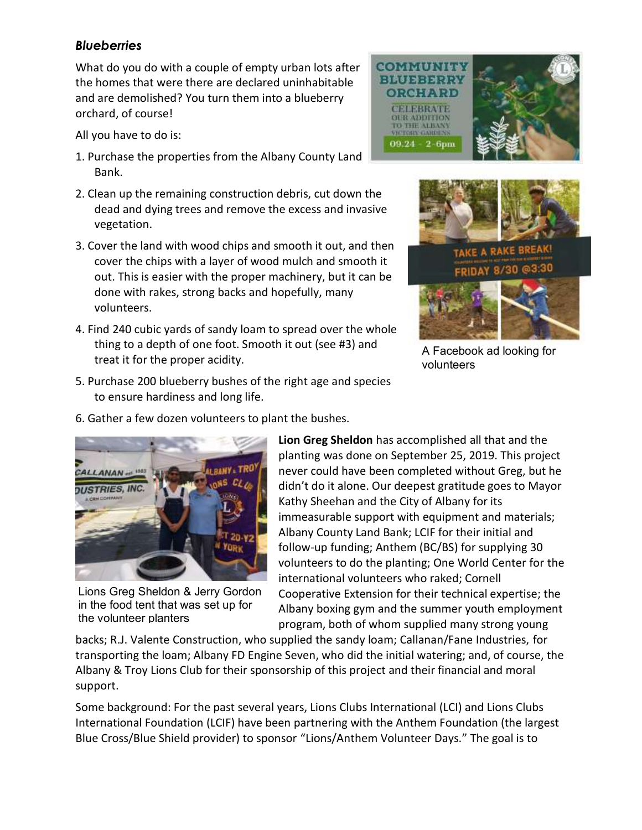## *Blueberries*

What do you do with a couple of empty urban lots after the homes that were there are declared uninhabitable and are demolished? You turn them into a blueberry orchard, of course!

All you have to do is:

- 1. Purchase the properties from the Albany County Land Bank.
- 2. Clean up the remaining construction debris, cut down the dead and dying trees and remove the excess and invasive vegetation.
- 3. Cover the land with wood chips and smooth it out, and then cover the chips with a layer of wood mulch and smooth it out. This is easier with the proper machinery, but it can be done with rakes, strong backs and hopefully, many volunteers.
- 4. Find 240 cubic yards of sandy loam to spread over the whole thing to a depth of one foot. Smooth it out (see #3) and treat it for the proper acidity.





A Facebook ad looking for volunteers

5. Purchase 200 blueberry bushes of the right age and species to ensure hardiness and long life.

6. Gather a few dozen volunteers to plant the bushes.



Lions Greg Sheldon & Jerry Gordon in the food tent that was set up for the volunteer planters

**Lion Greg Sheldon** has accomplished all that and the planting was done on September 25, 2019. This project never could have been completed without Greg, but he didn't do it alone. Our deepest gratitude goes to Mayor Kathy Sheehan and the City of Albany for its immeasurable support with equipment and materials; Albany County Land Bank; LCIF for their initial and follow-up funding; Anthem (BC/BS) for supplying 30 volunteers to do the planting; One World Center for the international volunteers who raked; Cornell Cooperative Extension for their technical expertise; the Albany boxing gym and the summer youth employment program, both of whom supplied many strong young

backs; R.J. Valente Construction, who supplied the sandy loam; Callanan/Fane Industries, for transporting the loam; Albany FD Engine Seven, who did the initial watering; and, of course, the Albany & Troy Lions Club for their sponsorship of this project and their financial and moral support.

Some background: For the past several years, Lions Clubs International (LCI) and Lions Clubs International Foundation (LCIF) have been partnering with the Anthem Foundation (the largest Blue Cross/Blue Shield provider) to sponsor "Lions/Anthem Volunteer Days." The goal is to